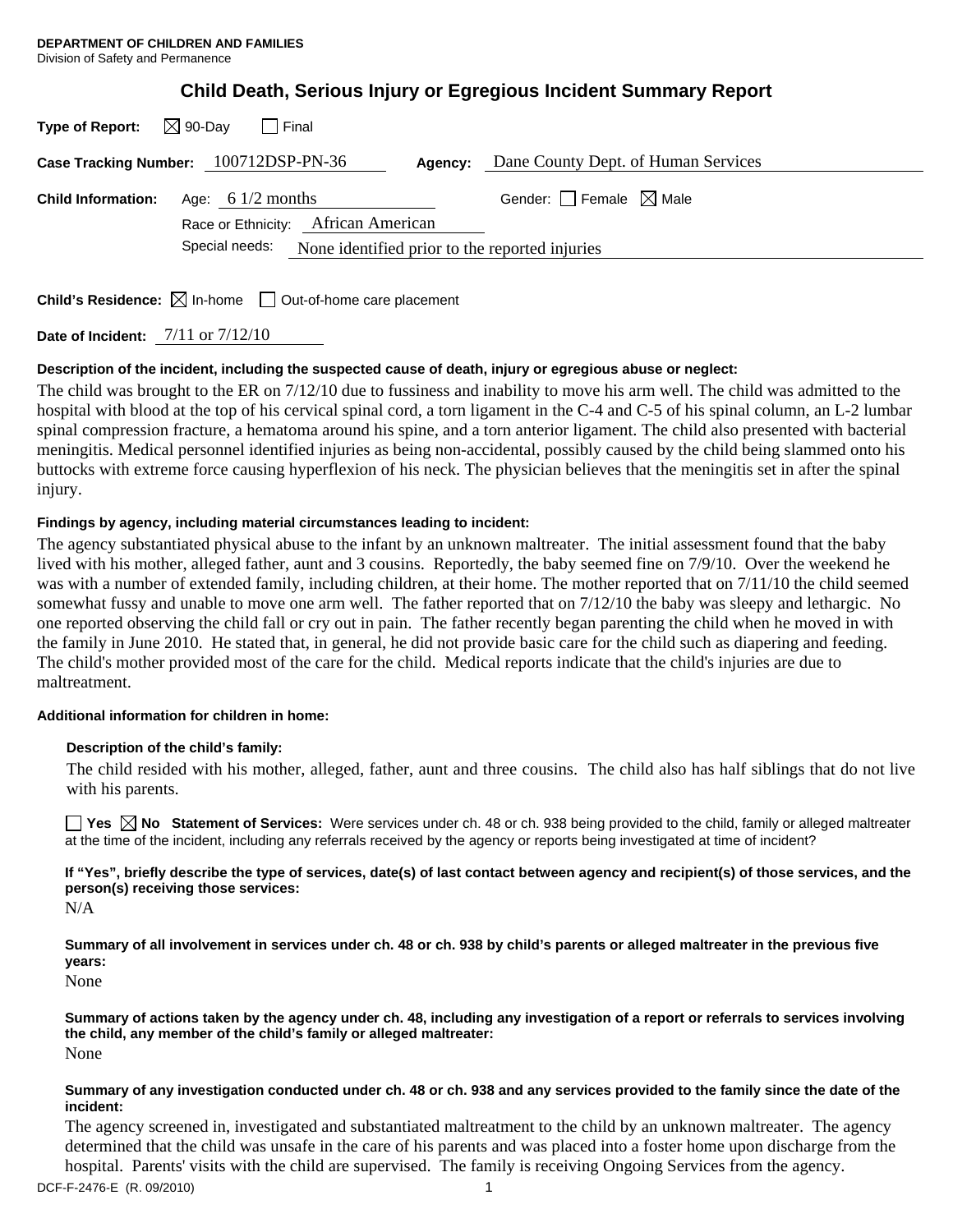| <b>Type of Report:</b>                                        | $\boxtimes$ 90-Dav<br>I Final                              |         |                                        |
|---------------------------------------------------------------|------------------------------------------------------------|---------|----------------------------------------|
|                                                               | Case Tracking Number: 100712DSP-PN-36                      | Agency: | Dane County Dept. of Human Services    |
| <b>Child Information:</b>                                     | Age: 6 $1/2$ months<br>Race or Ethnicity: African American |         | Gender: $\Box$ Female $\boxtimes$ Male |
| Special needs: None identified prior to the reported injuries |                                                            |         |                                        |
|                                                               |                                                            |         |                                        |

**Child's Residence:**  $\boxtimes$  In-home  $\Box$  Out-of-home care placement

**Date of Incident:** 7/11 or 7/12/10

# **Description of the incident, including the suspected cause of death, injury or egregious abuse or neglect:**

The child was brought to the ER on 7/12/10 due to fussiness and inability to move his arm well. The child was admitted to the hospital with blood at the top of his cervical spinal cord, a torn ligament in the C-4 and C-5 of his spinal column, an L-2 lumbar spinal compression fracture, a hematoma around his spine, and a torn anterior ligament. The child also presented with bacterial meningitis. Medical personnel identified injuries as being non-accidental, possibly caused by the child being slammed onto his buttocks with extreme force causing hyperflexion of his neck. The physician believes that the meningitis set in after the spinal injury.

# **Findings by agency, including material circumstances leading to incident:**

The agency substantiated physical abuse to the infant by an unknown maltreater. The initial assessment found that the baby lived with his mother, alleged father, aunt and 3 cousins. Reportedly, the baby seemed fine on 7/9/10. Over the weekend he was with a number of extended family, including children, at their home. The mother reported that on 7/11/10 the child seemed somewhat fussy and unable to move one arm well. The father reported that on 7/12/10 the baby was sleepy and lethargic. No one reported observing the child fall or cry out in pain. The father recently began parenting the child when he moved in with the family in June 2010. He stated that, in general, he did not provide basic care for the child such as diapering and feeding. The child's mother provided most of the care for the child. Medical reports indicate that the child's injuries are due to maltreatment.

## **Additional information for children in home:**

## **Description of the child's family:**

 The child resided with his mother, alleged, father, aunt and three cousins. The child also has half siblings that do not live with his parents.

**Yes No Statement of Services:** Were services under ch. 48 or ch. 938 being provided to the child, family or alleged maltreater at the time of the incident, including any referrals received by the agency or reports being investigated at time of incident?

**If "Yes", briefly describe the type of services, date(s) of last contact between agency and recipient(s) of those services, and the person(s) receiving those services:** 

N/A

**Summary of all involvement in services under ch. 48 or ch. 938 by child's parents or alleged maltreater in the previous five years:** 

None

**Summary of actions taken by the agency under ch. 48, including any investigation of a report or referrals to services involving the child, any member of the child's family or alleged maltreater:**  None

## **Summary of any investigation conducted under ch. 48 or ch. 938 and any services provided to the family since the date of the incident:**

The agency screened in, investigated and substantiated maltreatment to the child by an unknown maltreater. The agency determined that the child was unsafe in the care of his parents and was placed into a foster home upon discharge from the hospital. Parents' visits with the child are supervised. The family is receiving Ongoing Services from the agency.